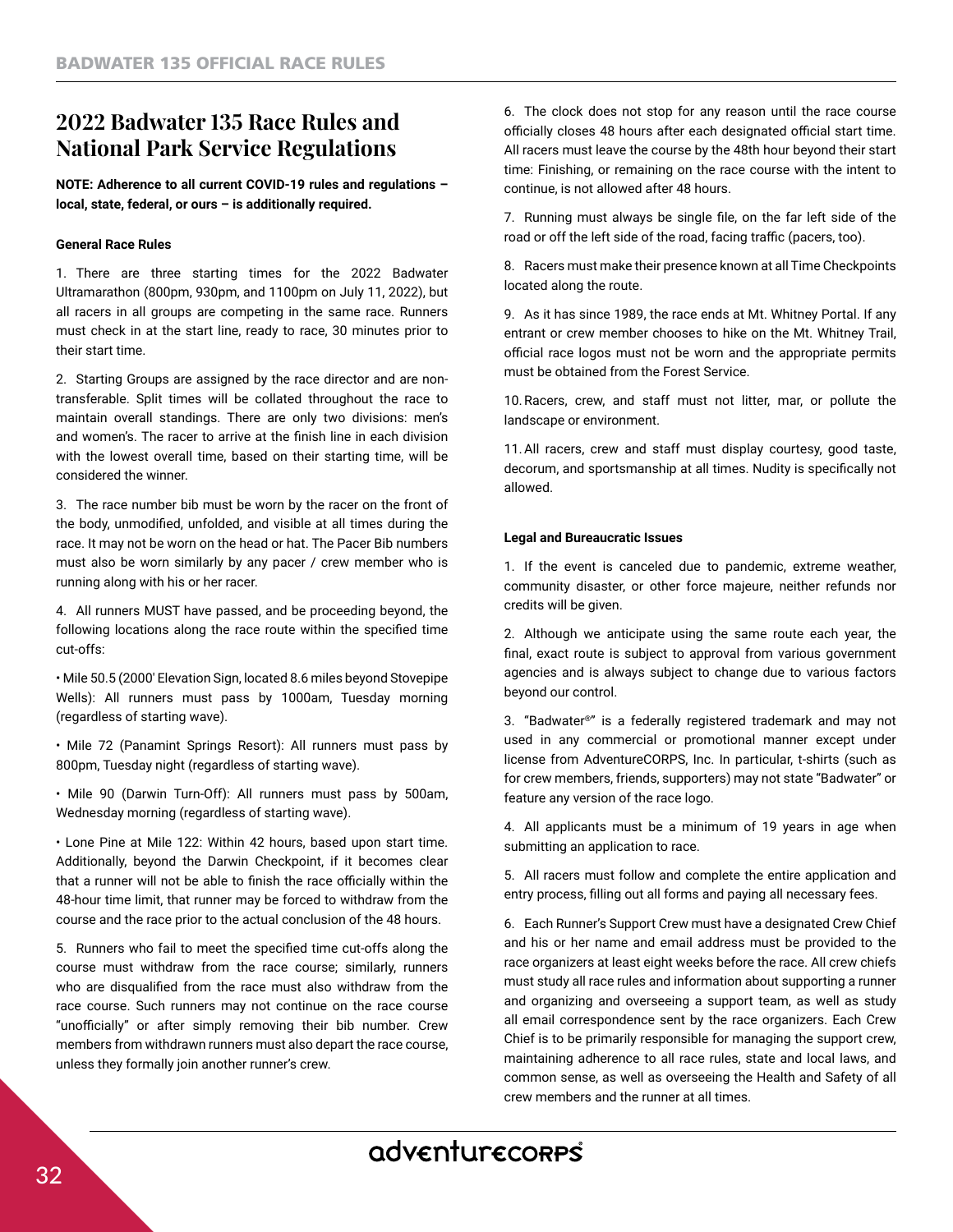# **2022 Badwater 135 Race Rules and National Park Service Regulations**

**NOTE: Adherence to all current COVID-19 rules and regulations – local, state, federal, or ours – is additionally required.**

## **General Race Rules**

1. There are three starting times for the 2022 Badwater Ultramarathon (800pm, 930pm, and 1100pm on July 11, 2022), but all racers in all groups are competing in the same race. Runners must check in at the start line, ready to race, 30 minutes prior to their start time.

2. Starting Groups are assigned by the race director and are nontransferable. Split times will be collated throughout the race to maintain overall standings. There are only two divisions: men's and women's. The racer to arrive at the fnish line in each division with the lowest overall time, based on their starting time, will be considered the winner.

3. The race number bib must be worn by the racer on the front of the body, unmodifed, unfolded, and visible at all times during the race. It may not be worn on the head or hat. The Pacer Bib numbers must also be worn similarly by any pacer / crew member who is running along with his or her racer.

4. All runners MUST have passed, and be proceeding beyond, the following locations along the race route within the specifed time cut-offs:

• Mile 50.5 (2000′ Elevation Sign, located 8.6 miles beyond Stovepipe Wells): All runners must pass by 1000am, Tuesday morning (regardless of starting wave).

• Mile 72 (Panamint Springs Resort): All runners must pass by 800pm, Tuesday night (regardless of starting wave).

• Mile 90 (Darwin Turn-Off): All runners must pass by 500am, Wednesday morning (regardless of starting wave).

• Lone Pine at Mile 122: Within 42 hours, based upon start time. Additionally, beyond the Darwin Checkpoint, if it becomes clear that a runner will not be able to finish the race officially within the 48-hour time limit, that runner may be forced to withdraw from the course and the race prior to the actual conclusion of the 48 hours.

5. Runners who fail to meet the specifed time cut-offs along the course must withdraw from the race course; similarly, runners who are disqualifed from the race must also withdraw from the race course. Such runners may not continue on the race course "unofficially" or after simply removing their bib number. Crew members from withdrawn runners must also depart the race course, unless they formally join another runner's crew.

6. The clock does not stop for any reason until the race course officially closes 48 hours after each designated official start time. All racers must leave the course by the 48th hour beyond their start time: Finishing, or remaining on the race course with the intent to continue, is not allowed after 48 hours.

7. Running must always be single fle, on the far left side of the road or off the left side of the road, facing traffic (pacers, too).

8. Racers must make their presence known at all Time Checkpoints located along the route.

9. As it has since 1989, the race ends at Mt. Whitney Portal. If any entrant or crew member chooses to hike on the Mt. Whitney Trail, official race logos must not be worn and the appropriate permits must be obtained from the Forest Service.

10.Racers, crew, and staff must not litter, mar, or pollute the landscape or environment.

11.All racers, crew and staff must display courtesy, good taste, decorum, and sportsmanship at all times. Nudity is specifcally not allowed.

#### **Legal and Bureaucratic Issues**

1. If the event is canceled due to pandemic, extreme weather, community disaster, or other force majeure, neither refunds nor credits will be given.

2. Although we anticipate using the same route each year, the fnal, exact route is subject to approval from various government agencies and is always subject to change due to various factors beyond our control.

3. "Badwater®" is a federally registered trademark and may not used in any commercial or promotional manner except under license from AdventureCORPS, Inc. In particular, t-shirts (such as for crew members, friends, supporters) may not state "Badwater" or feature any version of the race logo.

4. All applicants must be a minimum of 19 years in age when submitting an application to race.

5. All racers must follow and complete the entire application and entry process, flling out all forms and paying all necessary fees.

6. Each Runner's Support Crew must have a designated Crew Chief and his or her name and email address must be provided to the race organizers at least eight weeks before the race. All crew chiefs must study all race rules and information about supporting a runner and organizing and overseeing a support team, as well as study all email correspondence sent by the race organizers. Each Crew Chief is to be primarily responsible for managing the support crew, maintaining adherence to all race rules, state and local laws, and common sense, as well as overseeing the Health and Safety of all crew members and the runner at all times.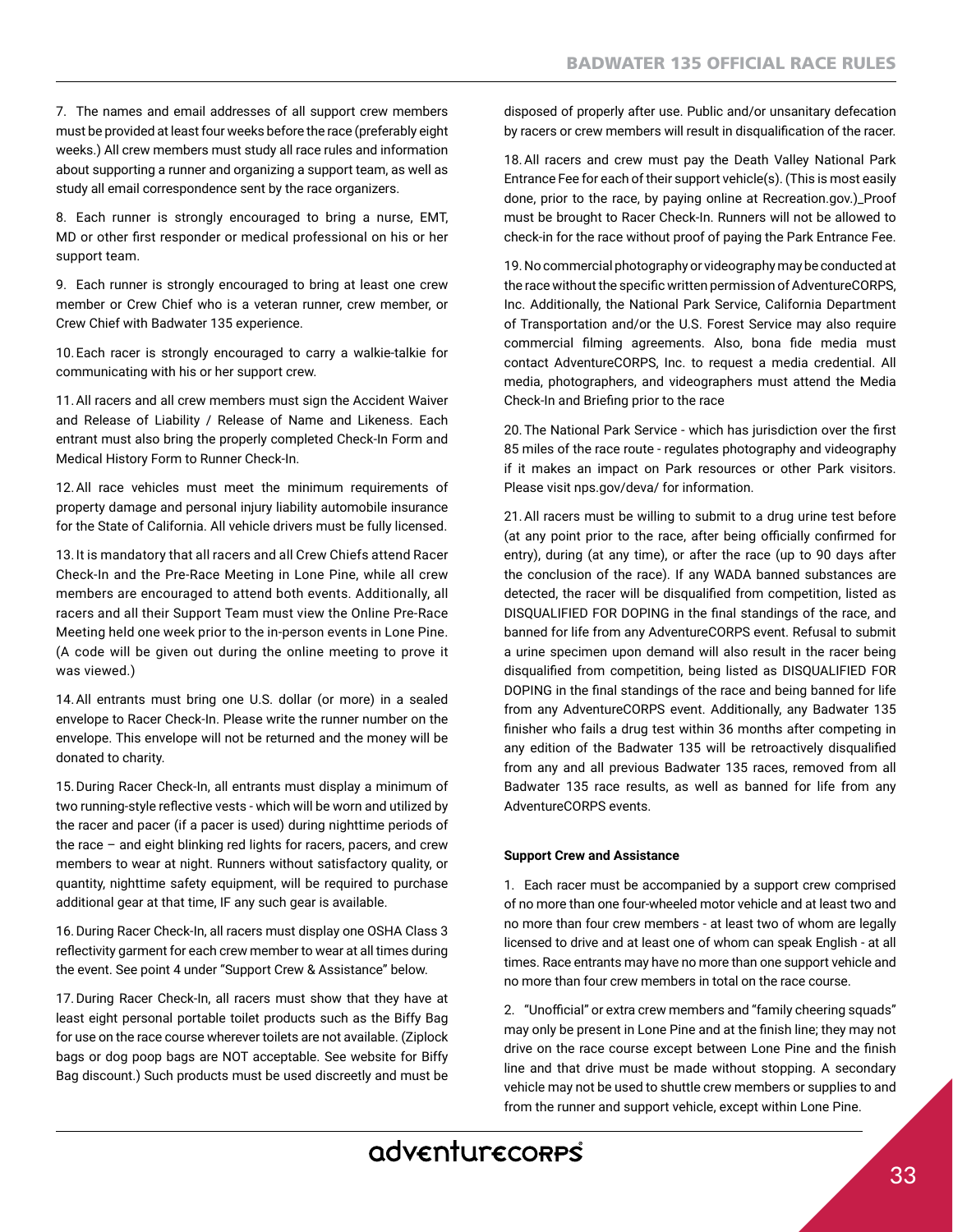7. The names and email addresses of all support crew members must be provided at least four weeks before the race (preferably eight weeks.) All crew members must study all race rules and information about supporting a runner and organizing a support team, as well as study all email correspondence sent by the race organizers.

8. Each runner is strongly encouraged to bring a nurse, EMT, MD or other frst responder or medical professional on his or her support team.

9. Each runner is strongly encouraged to bring at least one crew member or Crew Chief who is a veteran runner, crew member, or Crew Chief with Badwater 135 experience.

10.Each racer is strongly encouraged to carry a walkie-talkie for communicating with his or her support crew.

11.All racers and all crew members must sign the Accident Waiver and Release of Liability / Release of Name and Likeness. Each entrant must also bring the properly completed Check-In Form and Medical History Form to Runner Check-In.

12.All race vehicles must meet the minimum requirements of property damage and personal injury liability automobile insurance for the State of California. All vehicle drivers must be fully licensed.

13. It is mandatory that all racers and all Crew Chiefs attend Racer Check-In and the Pre-Race Meeting in Lone Pine, while all crew members are encouraged to attend both events. Additionally, all racers and all their Support Team must view the Online Pre-Race Meeting held one week prior to the in-person events in Lone Pine. (A code will be given out during the online meeting to prove it was viewed.)

14.All entrants must bring one U.S. dollar (or more) in a sealed envelope to Racer Check-In. Please write the runner number on the envelope. This envelope will not be returned and the money will be donated to charity.

15.During Racer Check-In, all entrants must display a minimum of two running-style refective vests - which will be worn and utilized by the racer and pacer (if a pacer is used) during nighttime periods of the race – and eight blinking red lights for racers, pacers, and crew members to wear at night. Runners without satisfactory quality, or quantity, nighttime safety equipment, will be required to purchase additional gear at that time, IF any such gear is available.

16.During Racer Check-In, all racers must display one OSHA Class 3 refectivity garment for each crew member to wear at all times during the event. See point 4 under "Support Crew & Assistance" below.

17.During Racer Check-In, all racers must show that they have at least eight personal portable toilet products such as the Biffy Bag for use on the race course wherever toilets are not available. (Ziplock bags or dog poop bags are NOT acceptable. See website for Biffy Bag discount.) Such products must be used discreetly and must be disposed of properly after use. Public and/or unsanitary defecation by racers or crew members will result in disqualifcation of the racer.

18.All racers and crew must pay the Death Valley National Park Entrance Fee for each of their support vehicle(s). (This is most easily done, prior to the race, by paying online at Recreation.gov.)\_Proof must be brought to Racer Check-In. Runners will not be allowed to check-in for the race without proof of paying the Park Entrance Fee.

19.No commercial photography or videography may be conducted at the race without the specifc written permission of AdventureCORPS, Inc. Additionally, the National Park Service, California Department of Transportation and/or the U.S. Forest Service may also require commercial filming agreements. Also, bona fide media must contact AdventureCORPS, Inc. to request a media credential. All media, photographers, and videographers must attend the Media Check-In and Briefng prior to the race

20.The National Park Service - which has jurisdiction over the frst 85 miles of the race route - regulates photography and videography if it makes an impact on Park resources or other Park visitors. Please visit nps.gov/deva/ for information.

21.All racers must be willing to submit to a drug urine test before (at any point prior to the race, after being officially confirmed for entry), during (at any time), or after the race (up to 90 days after the conclusion of the race). If any WADA banned substances are detected, the racer will be disqualifed from competition, listed as DISQUALIFIED FOR DOPING in the fnal standings of the race, and banned for life from any AdventureCORPS event. Refusal to submit a urine specimen upon demand will also result in the racer being disqualifed from competition, being listed as DISQUALIFIED FOR DOPING in the fnal standings of the race and being banned for life from any AdventureCORPS event. Additionally, any Badwater 135 fnisher who fails a drug test within 36 months after competing in any edition of the Badwater 135 will be retroactively disqualifed from any and all previous Badwater 135 races, removed from all Badwater 135 race results, as well as banned for life from any AdventureCORPS events.

## **Support Crew and Assistance**

1. Each racer must be accompanied by a support crew comprised of no more than one four-wheeled motor vehicle and at least two and no more than four crew members - at least two of whom are legally licensed to drive and at least one of whom can speak English - at all times. Race entrants may have no more than one support vehicle and no more than four crew members in total on the race course.

2. "Unofficial" or extra crew members and "family cheering squads" may only be present in Lone Pine and at the fnish line; they may not drive on the race course except between Lone Pine and the fnish line and that drive must be made without stopping. A secondary vehicle may not be used to shuttle crew members or supplies to and from the runner and support vehicle, except within Lone Pine.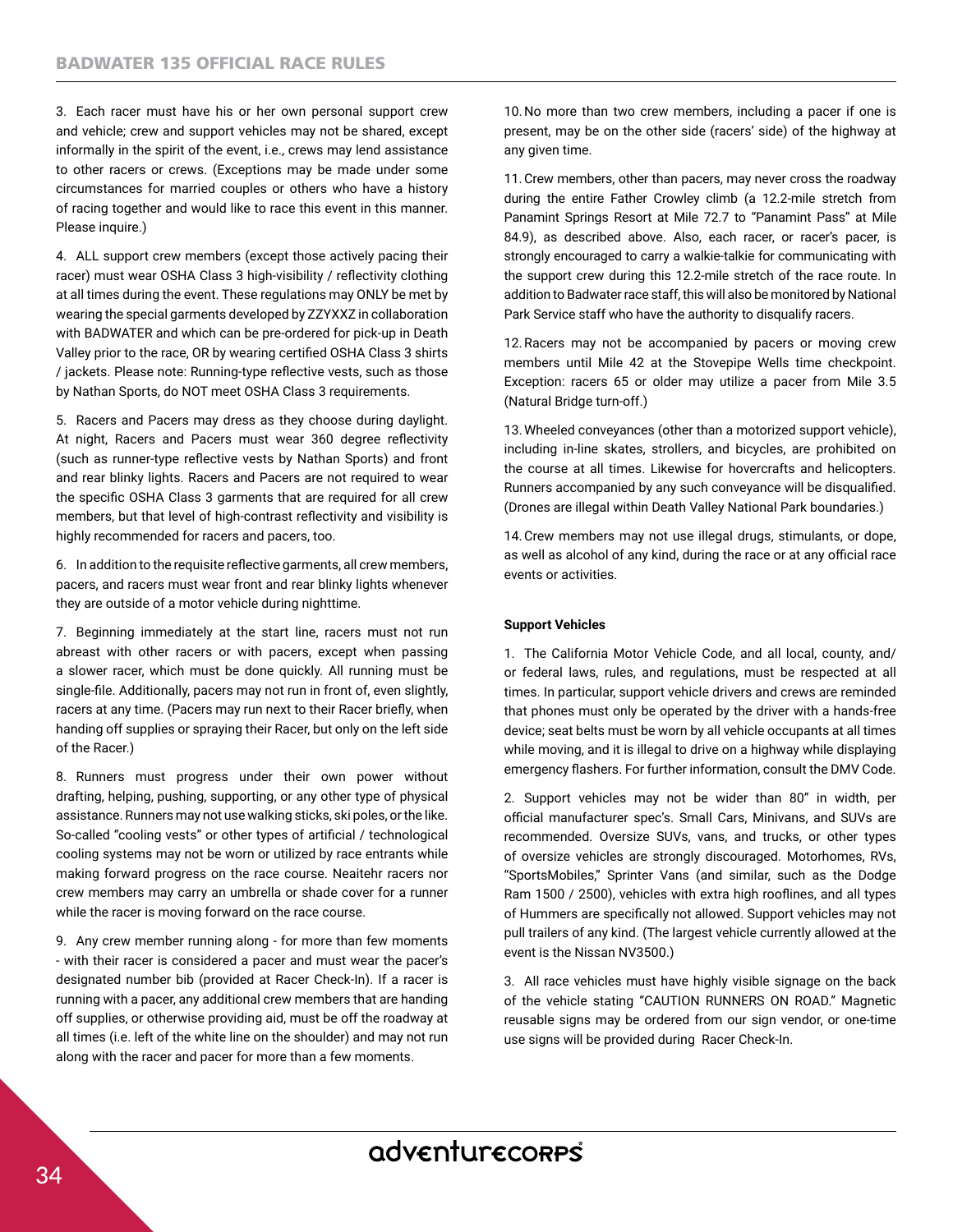3. Each racer must have his or her own personal support crew and vehicle; crew and support vehicles may not be shared, except informally in the spirit of the event, i.e., crews may lend assistance to other racers or crews. (Exceptions may be made under some circumstances for married couples or others who have a history of racing together and would like to race this event in this manner. Please inquire.)

4. ALL support crew members (except those actively pacing their racer) must wear OSHA Class 3 high-visibility / refectivity clothing at all times during the event. These regulations may ONLY be met by wearing the special garments developed by ZZYXXZ in collaboration with BADWATER and which can be pre-ordered for pick-up in Death Valley prior to the race, OR by wearing certifed OSHA Class 3 shirts / jackets. Please note: Running-type refective vests, such as those by Nathan Sports, do NOT meet OSHA Class 3 requirements.

5. Racers and Pacers may dress as they choose during daylight. At night, Racers and Pacers must wear 360 degree refectivity (such as runner-type refective vests by Nathan Sports) and front and rear blinky lights. Racers and Pacers are not required to wear the specifc OSHA Class 3 garments that are required for all crew members, but that level of high-contrast refectivity and visibility is highly recommended for racers and pacers, too.

6. In addition to the requisite refective garments, all crew members, pacers, and racers must wear front and rear blinky lights whenever they are outside of a motor vehicle during nighttime.

7. Beginning immediately at the start line, racers must not run abreast with other racers or with pacers, except when passing a slower racer, which must be done quickly. All running must be single-fle. Additionally, pacers may not run in front of, even slightly, racers at any time. (Pacers may run next to their Racer briefy, when handing off supplies or spraying their Racer, but only on the left side of the Racer.)

8. Runners must progress under their own power without drafting, helping, pushing, supporting, or any other type of physical assistance. Runners may not use walking sticks, ski poles, or the like. So-called "cooling vests" or other types of artifcial / technological cooling systems may not be worn or utilized by race entrants while making forward progress on the race course. Neaitehr racers nor crew members may carry an umbrella or shade cover for a runner while the racer is moving forward on the race course.

9. Any crew member running along - for more than few moments - with their racer is considered a pacer and must wear the pacer's designated number bib (provided at Racer Check-In). If a racer is running with a pacer, any additional crew members that are handing off supplies, or otherwise providing aid, must be off the roadway at all times (i.e. left of the white line on the shoulder) and may not run along with the racer and pacer for more than a few moments.

10.No more than two crew members, including a pacer if one is present, may be on the other side (racers' side) of the highway at any given time.

11.Crew members, other than pacers, may never cross the roadway during the entire Father Crowley climb (a 12.2-mile stretch from Panamint Springs Resort at Mile 72.7 to "Panamint Pass" at Mile 84.9), as described above. Also, each racer, or racer's pacer, is strongly encouraged to carry a walkie-talkie for communicating with the support crew during this 12.2-mile stretch of the race route. In addition to Badwater race staff, this will also be monitored by National Park Service staff who have the authority to disqualify racers.

12.Racers may not be accompanied by pacers or moving crew members until Mile 42 at the Stovepipe Wells time checkpoint. Exception: racers 65 or older may utilize a pacer from Mile 3.5 (Natural Bridge turn-off.)

13.Wheeled conveyances (other than a motorized support vehicle), including in-line skates, strollers, and bicycles, are prohibited on the course at all times. Likewise for hovercrafts and helicopters. Runners accompanied by any such conveyance will be disqualifed. (Drones are illegal within Death Valley National Park boundaries.)

14.Crew members may not use illegal drugs, stimulants, or dope, as well as alcohol of any kind, during the race or at any official race events or activities.

## **Support Vehicles**

1. The California Motor Vehicle Code, and all local, county, and/ or federal laws, rules, and regulations, must be respected at all times. In particular, support vehicle drivers and crews are reminded that phones must only be operated by the driver with a hands-free device; seat belts must be worn by all vehicle occupants at all times while moving, and it is illegal to drive on a highway while displaying emergency fashers. For further information, consult the DMV Code.

2. Support vehicles may not be wider than 80" in width, per official manufacturer spec's. Small Cars, Minivans, and SUVs are recommended. Oversize SUVs, vans, and trucks, or other types of oversize vehicles are strongly discouraged. Motorhomes, RVs, "SportsMobiles," Sprinter Vans (and similar, such as the Dodge Ram 1500 / 2500), vehicles with extra high roofines, and all types of Hummers are specifcally not allowed. Support vehicles may not pull trailers of any kind. (The largest vehicle currently allowed at the event is the Nissan NV3500.)

3. All race vehicles must have highly visible signage on the back of the vehicle stating "CAUTION RUNNERS ON ROAD." Magnetic reusable signs may be ordered from our sign vendor, or one-time use signs will be provided during Racer Check-In.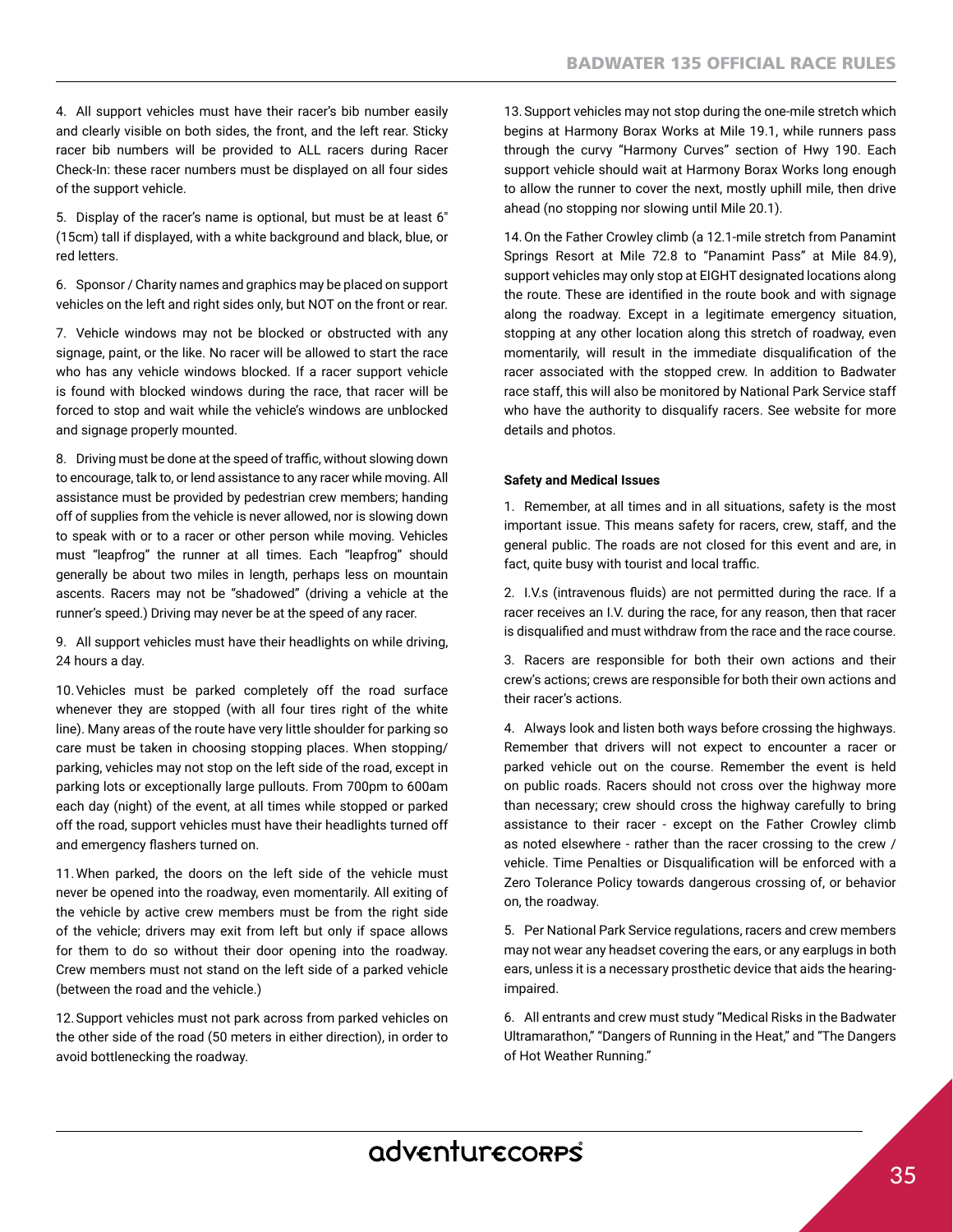4. All support vehicles must have their racer's bib number easily and clearly visible on both sides, the front, and the left rear. Sticky racer bib numbers will be provided to ALL racers during Racer Check-In: these racer numbers must be displayed on all four sides of the support vehicle.

5. Display of the racer's name is optional, but must be at least 6″ (15cm) tall if displayed, with a white background and black, blue, or red letters.

6. Sponsor / Charity names and graphics may be placed on support vehicles on the left and right sides only, but NOT on the front or rear.

7. Vehicle windows may not be blocked or obstructed with any signage, paint, or the like. No racer will be allowed to start the race who has any vehicle windows blocked. If a racer support vehicle is found with blocked windows during the race, that racer will be forced to stop and wait while the vehicle's windows are unblocked and signage properly mounted.

8. Driving must be done at the speed of traffic, without slowing down to encourage, talk to, or lend assistance to any racer while moving. All assistance must be provided by pedestrian crew members; handing off of supplies from the vehicle is never allowed, nor is slowing down to speak with or to a racer or other person while moving. Vehicles must "leapfrog" the runner at all times. Each "leapfrog" should generally be about two miles in length, perhaps less on mountain ascents. Racers may not be "shadowed" (driving a vehicle at the runner's speed.) Driving may never be at the speed of any racer.

9. All support vehicles must have their headlights on while driving, 24 hours a day.

10.Vehicles must be parked completely off the road surface whenever they are stopped (with all four tires right of the white line). Many areas of the route have very little shoulder for parking so care must be taken in choosing stopping places. When stopping/ parking, vehicles may not stop on the left side of the road, except in parking lots or exceptionally large pullouts. From 700pm to 600am each day (night) of the event, at all times while stopped or parked off the road, support vehicles must have their headlights turned off and emergency fashers turned on.

11.When parked, the doors on the left side of the vehicle must never be opened into the roadway, even momentarily. All exiting of the vehicle by active crew members must be from the right side of the vehicle; drivers may exit from left but only if space allows for them to do so without their door opening into the roadway. Crew members must not stand on the left side of a parked vehicle (between the road and the vehicle.)

12.Support vehicles must not park across from parked vehicles on the other side of the road (50 meters in either direction), in order to avoid bottlenecking the roadway.

13.Support vehicles may not stop during the one-mile stretch which begins at Harmony Borax Works at Mile 19.1, while runners pass through the curvy "Harmony Curves" section of Hwy 190. Each support vehicle should wait at Harmony Borax Works long enough to allow the runner to cover the next, mostly uphill mile, then drive ahead (no stopping nor slowing until Mile 20.1).

14.On the Father Crowley climb (a 12.1-mile stretch from Panamint Springs Resort at Mile 72.8 to "Panamint Pass" at Mile 84.9), support vehicles may only stop at EIGHT designated locations along the route. These are identifed in the route book and with signage along the roadway. Except in a legitimate emergency situation, stopping at any other location along this stretch of roadway, even momentarily, will result in the immediate disqualifcation of the racer associated with the stopped crew. In addition to Badwater race staff, this will also be monitored by National Park Service staff who have the authority to disqualify racers. See website for more details and photos.

## **Safety and Medical Issues**

1. Remember, at all times and in all situations, safety is the most important issue. This means safety for racers, crew, staff, and the general public. The roads are not closed for this event and are, in fact, quite busy with tourist and local traffic.

2. I.V.s (intravenous fuids) are not permitted during the race. If a racer receives an I.V. during the race, for any reason, then that racer is disqualifed and must withdraw from the race and the race course.

3. Racers are responsible for both their own actions and their crew's actions; crews are responsible for both their own actions and their racer's actions.

4. Always look and listen both ways before crossing the highways. Remember that drivers will not expect to encounter a racer or parked vehicle out on the course. Remember the event is held on public roads. Racers should not cross over the highway more than necessary; crew should cross the highway carefully to bring assistance to their racer - except on the Father Crowley climb as noted elsewhere - rather than the racer crossing to the crew / vehicle. Time Penalties or Disqualifcation will be enforced with a Zero Tolerance Policy towards dangerous crossing of, or behavior on, the roadway.

5. Per National Park Service regulations, racers and crew members may not wear any headset covering the ears, or any earplugs in both ears, unless it is a necessary prosthetic device that aids the hearingimpaired.

6. All entrants and crew must study "Medical Risks in the Badwater Ultramarathon," "Dangers of Running in the Heat," and "The Dangers of Hot Weather Running."